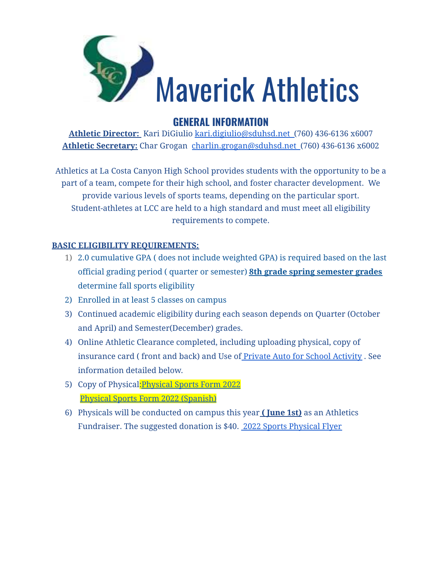

# **GENERAL INFORMATION**

**Athletic Director:** Kari DiGiulio [kari.digiulio@sduhsd.net](mailto:kari.digiulio@sduhsd.net) (760) 436-6136 x6007 **Athletic Secretary:** Char Grogan [charlin.grogan@sduhsd.net](mailto:charlin.grogan@sduhsd.net) (760) 436-6136 x6002

Athletics at La Costa Canyon High School provides students with the opportunity to be a part of a team, compete for their high school, and foster character development. We provide various levels of sports teams, depending on the particular sport. Student-athletes at LCC are held to a high standard and must meet all eligibility requirements to compete.

### **BASIC ELIGIBILITY REQUIREMENTS:**

- 1) 2.0 cumulative GPA ( does not include weighted GPA) is required based on the last official grading period ( quarter or semester) **8th grade spring semester grades** determine fall sports eligibility
- 2) Enrolled in at least 5 classes on campus
- 3) Continued academic eligibility during each season depends on Quarter (October and April) and Semester(December) grades.
- 4) Online Athletic Clearance completed, including uploading physical, copy of insurance card ( front and back) and Use of Private Auto for School [Activity](https://drive.google.com/file/d/1Oak-TrfMzQfrywmQanag6zXkjHOMqe7-/view?usp=sharing) . See information detailed below.
- 5) Copy of Physical[:Physical](https://drive.google.com/file/d/1PvhxvZDodkJsV0q-Ib_x81l5ZJk_PSkC/view?usp=sharing) Sports Form 2022 Physical Sports Form 2022 [\(Spanish\)](https://drive.google.com/file/d/1HN1cpXRZXZegza8W5KzLt1syOx8QS6in/view?usp=sharing)
- 6) Physicals will be conducted on campus this year **( June 1st)** as an Athletics Fundraiser. The suggested donation is \$40. 2022 Sports [Physical](https://drive.google.com/open?id=1HltZc6OldRTqAkaZVUf7zjOgLd8nfIP6) Flyer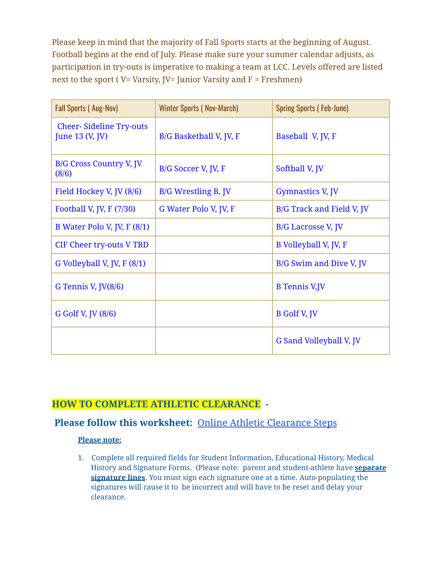Please keep in mind that the majority of Fall Sports starts at the beginning of August. Football begins at the end of July. Please make sure your summer calendar adjusts, as participation in try-outs is imperative to making a team at LCC. Levels offered are listed next to the sport (  $V=$  Varsity,  $IV=$  Junior Varsity and  $F=$  Freshmen)

| <b>Fall Sports (Aug-Nov)</b>                      | <b>Winter Sports (Nov-March)</b> | <b>Spring Sports (Feb-June)</b> |
|---------------------------------------------------|----------------------------------|---------------------------------|
| <b>Cheer-Sideline Try-outs</b><br>June 13 (V, JV) | B/G Basketball V, JV, F          | Baseball V, JV, F               |
| <b>B/G Cross Country V, JV</b><br>(8/6)           | B/G Soccer V, JV, F              | Softball V, JV                  |
| Field Hockey V, JV (8/6)                          | B/G Wrestling B, JV              | <b>Gymnastics V, JV</b>         |
| Football V, JV, F $(7/30)$                        | G Water Polo V, JV, F            | B/G Track and Field V, JV       |
| B Water Polo V, JV, F $(8/1)$                     |                                  | B/G Lacrosse V, JV              |
| <b>CIF Cheer try-outs V TBD</b>                   |                                  | B Volleyball V, JV, F           |
| G Volleyball V, JV, F (8/1)                       |                                  | B/G Swim and Dive V, JV         |
| G Tennis V, JV(8/6)                               |                                  | <b>B</b> Tennis V,JV            |
| G Golf V, JV (8/6)                                |                                  | <b>B</b> Golf V, JV             |
|                                                   |                                  | G Sand Volleyball V, JV         |

### **HOW TO COMPLETE ATHLETIC CLEARANCE -**

## **Please follow this worksheet:** Online Athletic [Clearance](https://mcusercontent.com/4d3abec81c29e6276918ea871/files/c5bc8135-965a-b9ae-e365-cdcee533c142/CIF2.0ACUserHandout.pdf) Steps

#### **Please note:**

1. Complete all required fields for Student Information, Educational History, Medical History and Signature Forms. (Please note: parent and student-athlete have **separate signature lines**. You must sign each signature one at a time. Auto-populating the signatures will cause it to be incorrect and will have to be reset and delay your clearance.